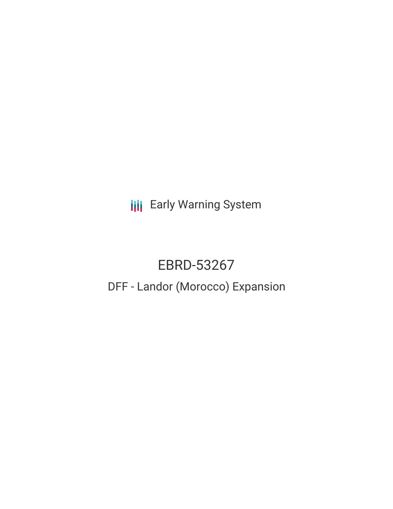**III** Early Warning System

# EBRD-53267 DFF - Landor (Morocco) Expansion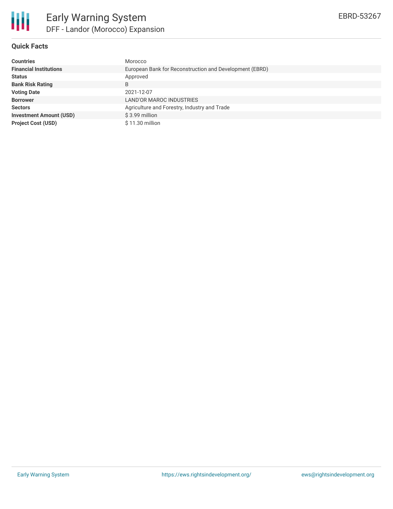

## **Quick Facts**

| <b>Countries</b>               | Morocco                                                 |  |  |  |  |
|--------------------------------|---------------------------------------------------------|--|--|--|--|
| <b>Financial Institutions</b>  | European Bank for Reconstruction and Development (EBRD) |  |  |  |  |
| <b>Status</b>                  | Approved                                                |  |  |  |  |
| <b>Bank Risk Rating</b>        | B                                                       |  |  |  |  |
| <b>Voting Date</b>             | 2021-12-07                                              |  |  |  |  |
| <b>Borrower</b>                | LAND'OR MAROC INDUSTRIES                                |  |  |  |  |
| <b>Sectors</b>                 | Agriculture and Forestry, Industry and Trade            |  |  |  |  |
| <b>Investment Amount (USD)</b> | \$3.99 million                                          |  |  |  |  |
| <b>Project Cost (USD)</b>      | $$11.30$ million                                        |  |  |  |  |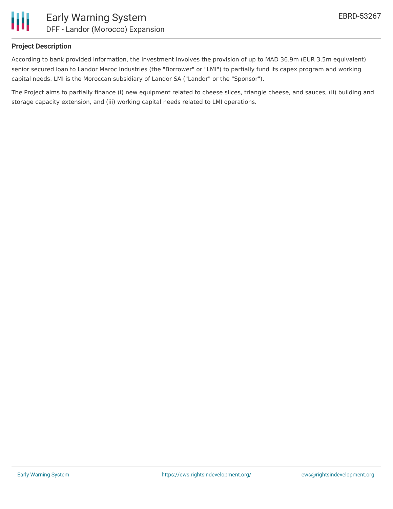

### **Project Description**

According to bank provided information, the investment involves the provision of up to MAD 36.9m (EUR 3.5m equivalent) senior secured loan to Landor Maroc Industries (the "Borrower" or "LMI") to partially fund its capex program and working capital needs. LMI is the Moroccan subsidiary of Landor SA ("Landor" or the "Sponsor").

The Project aims to partially finance (i) new equipment related to cheese slices, triangle cheese, and sauces, (ii) building and storage capacity extension, and (iii) working capital needs related to LMI operations.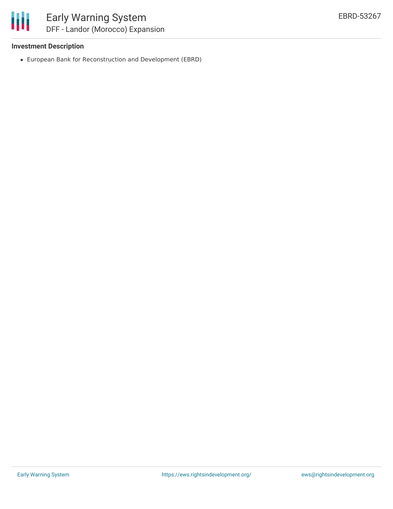

#### **Investment Description**

European Bank for Reconstruction and Development (EBRD)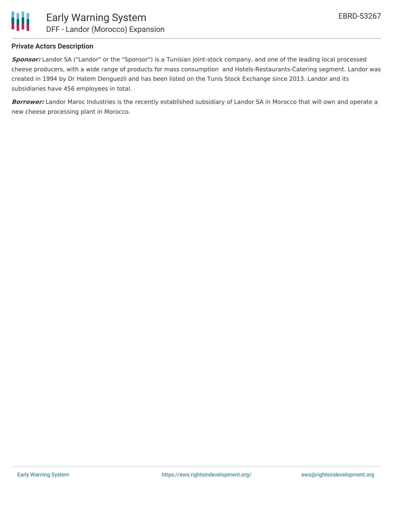

### **Private Actors Description**

**Sponsor:** Landor SA ("Landor" or the "Sponsor") is a Tunisian joint-stock company, and one of the leading local processed cheese producers, with a wide range of products for mass consumption and Hotels-Restaurants-Catering segment. Landor was created in 1994 by Dr Hatem Denguezli and has been listed on the Tunis Stock Exchange since 2013. Landor and its subsidiaries have 456 employees in total.

**Borrower:** Landor Maroc Industries is the recently established subsidiary of Landor SA in Morocco that will own and operate a new cheese processing plant in Morocco.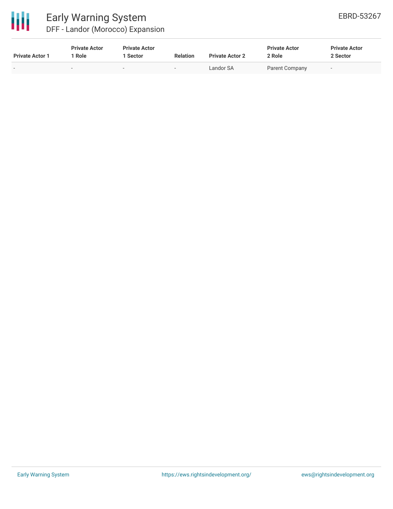

# Early Warning System

DFF - Landor (Morocco) Expansion

| <b>Private Actor 1</b> | <b>Private Actor</b><br>1 Role | <b>Private Actor</b><br>l Sector | <b>Relation</b> | <b>Private Actor 2</b> | <b>Private Actor</b><br>2 Role | <b>Private Actor</b><br>2 Sector |
|------------------------|--------------------------------|----------------------------------|-----------------|------------------------|--------------------------------|----------------------------------|
| $\sim$                 | -                              | $\sim$                           |                 | Landor SA              | Parent Company                 | $\sim$                           |